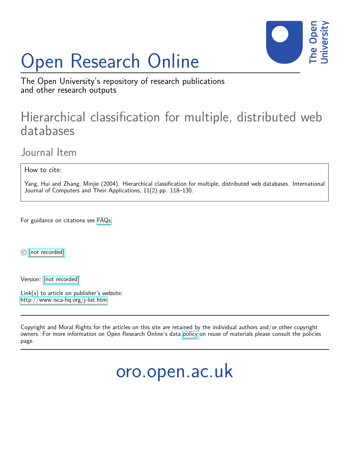# Open Research Online



The Open University's repository of research publications and other research outputs

## Hierarchical classification for multiple, distributed web databases

Journal Item

How to cite:

Yang, Hui and Zhang, Minjie (2004). Hierarchical classification for multiple, distributed web databases. International Journal of Computers and Their Applications, 11(2) pp. 118–130.

For guidance on citations see [FAQs.](http://oro.open.ac.uk/help/helpfaq.html)

c [\[not recorded\]](http://oro.open.ac.uk/help/helpfaq.html#Unrecorded_information_on_coversheet)

Version: [\[not recorded\]](http://oro.open.ac.uk/help/helpfaq.html#Unrecorded_information_on_coversheet)

Link(s) to article on publisher's website: <http://www.isca-hq.org/j-list.htm>

Copyright and Moral Rights for the articles on this site are retained by the individual authors and/or other copyright owners. For more information on Open Research Online's data [policy](http://oro.open.ac.uk/policies.html) on reuse of materials please consult the policies page.

oro.open.ac.uk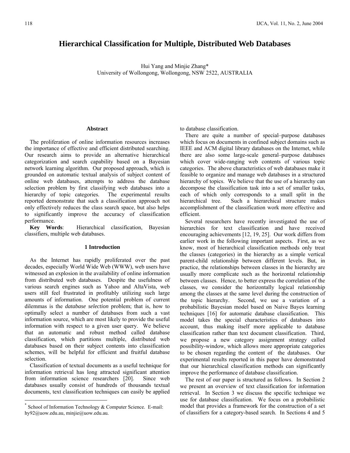### **Hierarchical Classification for Multiple, Distributed Web Databases**

Hui Yang and Minjie Zhang\* University of Wollongong, Wollongong, NSW 2522, AUSTRALIA

#### **Abstract**

 The proliferation of online information resources increases the importance of effective and efficient distributed searching. Our research aims to provide an alternative hierarchical categorization and search capability based on a Bayesian network learning algorithm. Our proposed approach, which is grounded on automatic textual analysis of subject content of online web databases, attempts to address the database selection problem by first classifying web databases into a hierarchy of topic categories. The experimental results reported demonstrate that such a classification approach not only effectively reduces the class search space, but also helps to significantly improve the accuracy of classification performance.

 **Key Words**: Hierarchical classification, Bayesian classifiers, multiple web databases.

#### **1 Introduction**

 As the Internet has rapidly proliferated over the past decades, especially World Wide Web (WWW), web users have witnessed an explosion in the availability of online information from distributed web databases. Despite the usefulness of various search engines such as Yahoo and AltaVista, web users still feel frustrated in profitably utilizing such large amounts of information. One potential problem of current dilemmas is the *database selection* problem; that is, how to optimally select a number of databases from such a vast information source, which are most likely to provide the useful information with respect to a given user query. We believe that an automatic and robust method called database classification, which partitions multiple, distributed web databases based on their subject contents into classification schemes, will be helpful for efficient and fruitful database selection.

 Classification of textual documents as a useful technique for information retrieval has long attracted significant attention from information science researchers [20]. Since web databases usually consist of hundreds of thousands textual documents, text classification techniques can easily be applied

 $\overline{a}$ 

to database classification.

There are quite a number of special–purpose databases which focus on documents in confined subject domains such as IEEE and ACM digital library databases on the Internet, while there are also some large-scale general–purpose databases which cover wide-ranging web contents of various topic categories. The above characteristics of web databases make it feasible to organize and manage web databases in a structured hierarchy of topics. We believe that the use of a hierarchy can decompose the classification task into a set of smaller tasks, each of which only corresponds to a small split in the hierarchical tree. Such a hierarchical structure makes accomplishment of the classification work more effective and efficient.

 Several researchers have recently investigated the use of hierarchies for text classification and have received encouraging achievements [12, 19, 25]. Our work differs from earlier work in the following important aspects. First, as we know, most of hierarchical classification methods only treat the classes (categories) in the hierarchy as a simple vertical parent-child relationship between different levels. But, in practice, the relationships between classes in the hierarchy are usually more complicate such as the horizontal relationship between classes. Hence, to better express the correlation of the classes, we consider the horizontally logical relationship among the classes at the same level during the construction of the topic hierarchy. Second, we use a variation of a probabilistic Bayesian model based on Naive Bayes learning techniques [16] for automatic database classification. This model takes the special characteristics of databases into account, thus making itself more applicable to database classification rather than text document classification. Third, we propose a new category assignment strategy called possibility-window, which allows more appropriate categories to be chosen regarding the content of the databases. Our experimental results reported in this paper have demonstrated that our hierarchical classification methods can significantly improve the performance of database classification.

 The rest of our paper is structured as follows. In Section 2 we present an overview of text classification for information retrieval. In Section 3 we discuss the specific technique we use for database classification. We focus on a probabilistic model that provides a framework for the construction of a set of classifiers for a category-based search. In Sections 4 and 5

School of Information Technology & Computer Science. E-mail: hy92@uow.edu.au, minjie@uow.edu.au.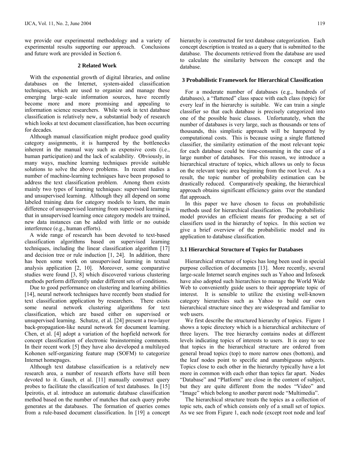we provide our experimental methodology and a variety of experimental results supporting our approach. Conclusions and future work are provided in Section 6.

#### **2 Related Work**

 With the exponential growth of digital libraries, and online databases on the Internet, system-aided classification techniques, which are used to organize and manage these emerging large–scale information sources, have recently become more and more promising and appealing to information science researchers. While work in text database classification is relatively new, a substantial body of research which looks at text document classification, has been occurring for decades.

 Although manual classification might produce good quality category assignments, it is hampered by the bottlenecks inherent in the manual way such as expensive costs (i.e., human participation) and the lack of scalability. Obviously, in many ways, machine learning techniques provide suitable solutions to solve the above problems. In recent studies a number of machine-learning techniques have been proposed to address the text classification problem. Among them exists mainly two types of learning techniques: supervised learning and unsupervised learning. Although they all depend on some labeled training data for category models to learn, the main difference of unsupervised learning from supervised learning is that in unsupervised learning once category models are trained, new data instances can be added with little or no outside interference (e.g., human efforts).

 A wide range of research has been devoted to text-based classification algorithms based on supervised learning techniques, including the linear classification algorithm [17] and decision tree or rule induction [1, 24]. In addition, there has been some work on unsupervised learning in textual analysis application [2, 10]. Moreover, some comparative studies were found [3, 8] which discovered various clustering methods perform differently under different sets of conditions.

 Due to good performance on clustering and learning abilities [14], neural network techniques have recently been studied for text classification application by researchers. There exists some neural network clustering algorithms for text classification, which are based either on supervised or unsupervised learning. Schutze, et al. [24] present a two-layer back-propagation-like neural network for document learning. Chen, et al. [4] adopt a variation of the hopfield network for concept classification of electronic brainstorming comments. In their recent work [5] they have also developed a multilayed Kohonen self-organizing feature map (SOFM) to categorize Internet homepages.

 Although text database classification is a relatively new research area, a number of research efforts have still been devoted to it. Gauch, et al. [11] manually construct query probes to facilitate the classification of text databases. In [15] Ipeirotis, et al. introduce an automatic database classification method based on the number of matches that each query probe generates at the databases. The formation of queries comes from a rule-based document classification. In [19] a concept hierarchy is constructed for text database categorization. Each concept description is treated as a query that is submitted to the database. The documents retrieved from the database are used to calculate the similarity between the concept and the database.

#### **3 Probabilistic Framework for Hierarchical Classification**

 For a moderate number of databases (e.g., hundreds of databases), a "flattened" class space with each class (topic) for every leaf in the hierarchy is suitable. We can train a single classifier so that each database is precisely categorized into one of the possible basic classes. Unfortunately, when the number of databases is very large, such as thousands or tens of thousands, this simplistic approach will be hampered by computational costs. This is because using a single flattened classifier, the similarity estimation of the most relevant topic for each database could be time-consuming in the case of a large number of databases. For this reason, we introduce a hierarchical structure of topics, which allows us only to focus on the relevant topic area beginning from the root level. As a result, the topic number of probability estimation can be drastically reduced. Comparatively speaking, the hierarchical approach obtains significant efficiency gains over the standard flat approach.

 In this paper we have chosen to focus on probabilistic methods used for hierarchical classification. The probabilistic model provides an efficient means for producing a set of classifiers used in the hierarchy of topics. In this section we give a brief overview of the probabilistic model and its application to database classification.

#### **3.1 Hierarchical Structure of Topics for Databases**

 Hierarchical structure of topics has long been used in special purpose collection of documents [13]. More recently, several large-scale Internet search engines such as Yahoo and Infoseek have also adopted such hierarchies to manage the World Wide Web to conveniently guide users to their appropriate topic of interest. It is sensible to utilize the existing well-known category hierarchies such as Yahoo to build our own hierarchical structure since they are widespread and familiar to web users.

 We first describe the structured hierarchy of topics. Figure 1 shows a topic directory which is a hierarchical architecture of three layers. The tree hierarchy contains nodes at different levels indicating topics of interests to users. It is easy to see that topics in the hierarchical structure are ordered from general broad topics (top) to more narrow ones (bottom), and the leaf nodes point to specific and unambiguous subjects. Topics close to each other in the hierarchy typically have a lot more in common with each other than topics far apart. Nodes "Database" and "Platform" are close in the content of subject, but they are quite different from the nodes "Video" and "Image" which belong to another parent node "Multimedia".

 The hierarchical structure treats the topics as a collection of topic sets, each of which consists only of a small set of topics. As we see from Figure 1, each node (except root node and leaf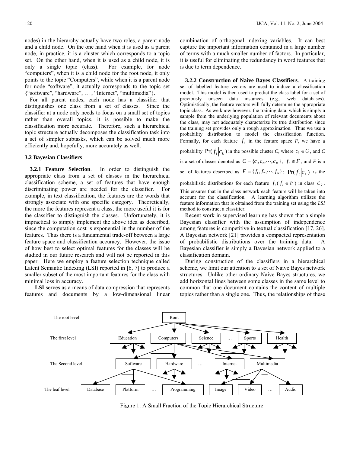nodes) in the hierarchy actually have two roles, a parent node and a child node. On the one hand when it is used as a parent node, in practice, it is a cluster which corresponds to a topic set. On the other hand, when it is used as a child node, it is only a single topic (class). For example, for node "computers", when it is a child node for the root node, it only points to the topic "Computers", while when it is a parent node for node "software", it actually corresponds to the topic set {"software", "hardware", … , "Internet", "multimedia"}.

 For all parent nodes, each node has a classifier that distinguishes one class from a set of classes. Since the classifier at a node only needs to focus on a small set of topics rather than overall topics, it is possible to make the classification more accurate. Therefore, such a hierarchical topic structure actually decomposes the classification task into a set of simpler subtasks, which can be solved much more efficiently and, hopefully, more accurately as well.

#### **3.2 Bayesian Classifiers**

 **3.2.1 Feature Selection**. In order to distinguish the appropriate class from a set of classes in the hierarchical classification scheme, a set of features that have enough discriminating power are needed for the classifier. For example, in text classification, the features are the words that strongly associate with one specific category. Theoretically, the more the features represent a class, the more useful it is for the classifier to distinguish the classes. Unfortunately, it is impractical to simply implement the above idea as described, since the computation cost is exponential in the number of the features. Thus there is a fundamental trade-off between a large feature space and classification accuracy. However, the issue of how best to select optimal features for the classes will be studied in our future research and will not be reported in this paper. Here we employ a feature selection technique called Latent Semantic Indexing (LSI) reported in [6, 7] to produce a smaller subset of the most important features for the class with minimal loss in accuracy.

**LSI** serves as a means of data compression that represents features and documents by a low-dimensional linear combination of orthogonal indexing variables. It can best capture the important information contained in a large number of terms with a much smaller number of factors. In particular, it is useful for eliminating the redundancy in word features that is due to term dependence.

 **3.2.2 Construction of Naive Bayes Classifiers**. A training set of labelled feature vectors are used to induce a classification model. This model is then used to predict the class label for a set of previously unseen data instances (e.g., web databases). Optimistically, the feature vectors will fully determine the appropriate topic class. As we know however, the training data, which is simply a sample from the underlying population of relevant documents about the class, may not adequately characterize its true distribution since the training set provides only a rough approximation. Thus we use a probability distribution to model the classification function. Formally, for each feature  $f_i$  in the feature space  $F$ , we have a probability  $\Pr(f_i|c_k)$  in the possible cluster *C*, where  $c_k \in C$ , and *C* is a set of classes denoted as  $C = \{c_1, c_2, \dots, c_M\}$ ;  $f_i \in F$ , and *F* is a set of features described as  $F = \{f_1, f_2, \dots, f_N\}$ ;  $\Pr(f_i|c_k)$  is the probabilistic distributions for each feature  $f_i$  ( $f_i \in F$ ) in class  $c_k$ . This ensures that in the class network each feature will be taken into account for the classification. A learning algorithm utilizes the feature information that is obtained from the training set using the *LSI* method to construct a classifier.

Recent work in supervised learning has shown that a simple Bayesian classifier with the assumption of independence among features is competitive in textual classification [17, 26]. A Bayesian network [21] provides a compacted representation of probabilistic distributions over the training data. A Bayesian classifier is simply a Bayesian network applied to a classification domain.

 During construction of the classifiers in a hierarchical scheme, we limit our attention to a set of Naive Bayes network structures. Unlike other ordinary Naive Bayes structures, we add horizontal lines between some classes in the same level to common that one document contains the content of multiple topics rather than a single one. Thus, the relationships of these



Figure 1: A Small Fraction of the Topic Hierarchical Structure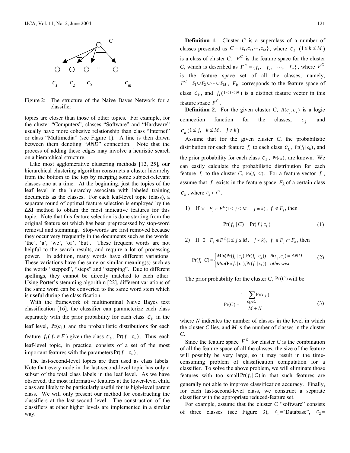

Figure 2: The structure of the Naive Bayes Network for a classifier

topics are closer than those of other topics. For example, for the cluster "Computers", classes "Software" and "Hardware" usually have more cohesive relationship than class "Internet" or class "Multimedia" (see Figure 1). A line is then drawn between them denoting "*AND*" connection. Note that the process of adding these edges may involve a heuristic search on a hierarchical structure.

 Like most agglomerative clustering methods [12, 25], our hierarchical clustering algorithm constructs a cluster hierarchy from the bottom to the top by merging some subject-relevant classes one at a time. At the beginning, just the topics of the leaf level in the hierarchy associate with labeled training documents as the classes. For each leaf-level topic (class), a separate round of optimal feature selection is employed by the *LSI* method to obtain the most indicative features for this topic. Note that this feature selection is done starting from the original feature set which has been preprocessed by stop-word removal and stemming. Stop-words are first removed because they occur very frequently in the documents such as the words: 'the', 'a', 'we', 'of', 'but'. These frequent words are not helpful to the search results, and require a lot of processing power. In addition, many words have different variations. These variations have the same or similar meaning(s) such as the words "stepped", "steps" and "stepping". Due to different spellings, they cannot be directly matched to each other. Using Porter's stemming algorithm [22], different variations of the same word can be converted to the same word stem which is useful during the classification.

 With the framework of multinominal Naive Bayes text classification [16], the classifier can parameterize each class separately with the prior probability for each class  $c_k$  in the leaf level,  $Pr(c_k)$  and the probabilistic distributions for each feature  $f_i$  ( $f_i \in F$ ) given the class  $c_k$ ,  $Pr(f_i | c_k)$ . Thus, each leaf-level topic, in practice, consists of a set of the most important features with the parameters  $Pr(f_i | c_k)$ .

 The last-second-level topics are then used as class labels. Note that every node in the last-second-level topic has only a subset of the total class labels in the leaf level. As we have observed, the most informative features at the lower-level child class are likely to be particularly useful for its high-level parent class. We will only present our method for constructing the classifiers at the last-second level. The construction of the classifiers at other higher levels are implemented in a similar way.

**Definition 1.** Cluster *C* is a superclass of a number of classes presented as  $C = \{c_1, c_2, \dots, c_M\}$ , where  $c_k$  (1 ≤ *k* ≤ *M*) is a class of cluster *C*.  $F^C$  is the feature space for the cluster *C*, which is described as  $F^c = \{f_1, f_2, \dots, f_N\}$ , where  $F^c$ is the feature space set of all the classes, namely,  $F^{C} = F_1 \cup F_2 \cup \cdots \cup F_M$ ,  $F_k$  corresponds to the feature space of class  $c_k$ , and  $f_i(1 \le i \le N)$  is a distinct feature vector in this feature space  $F^C$ .

 **Definition 2**. For the given cluster *C*,  $R(c_i, c_k)$  is a logic connection function for the classes,  $c_i$  and  $c_k$  (1 ≤ *j*,  $k \le M$ ,  $j \ne k$ ).

 Assume that for the given cluster *C*, the probabilistic distribution for each feature  $f_i$  to each class  $c_k$ ,  $Pr(f_i | c_k)$ , and the prior probability for each class  $c_k$ ,  $Pr(c_k)$ , are known. We can easily calculate the probabilistic distribution for each feature  $f_i$  to the cluster C,  $Pr(f_i | C)$ . For a feature vector  $f_i$ , assume that  $f_i$  exists in the feature space  $F_k$  of a certain class  $c_k$ , where  $c_k \in C$ .

1) If 
$$
\forall
$$
  $F_j \in F^c(1 \le j \le M, j \ne k)$ ,  $f_i \notin F_j$ , then  

$$
Pr(f_i | C) = Pr(f_i | c_k)
$$
(1)

2) If  $\exists$   $F_i \in F^C$  ( $1 \le j \le M$ ,  $j \ne k$ ),  $f_i \in F_i \cap F_k$ , then

$$
Pr(f_i | C) = \begin{cases} \text{Min}(Pr(f_i | c_j), Pr(f_i | c_k)) & R(c_j, c_k) = AND \\ \text{Max}(Pr(f_i | c_j), Pr(f_i | c_k)) & \text{otherwise} \end{cases} \tag{2}
$$

The prior probability for the cluster  $C$ ,  $Pr(C)$  will be

$$
Pr(C) = \frac{1 + \sum_{c_k \in C} Pr(c_k)}{M + N}
$$
 (3)

where *N* indicates the number of classes in the level in which the cluster *C* lies, and *M* is the number of classes in the cluster *C*.

Since the feature space  $F^c$  for cluster *C* is the combination of all the feature space of all the classes, the size of the feature will possibly be very large, so it may result in the timeconsuming problem of classification computation for a classifier. To solve the above problem, we will eliminate those features with too small  $Pr(f_i | C)$  in that such features are generally not able to improve classification accuracy. Finally, for each last-second-level class, we construct a separate classifier with the appropriate reduced-feature set.

 For example, assume that the cluster *C* "software" consists of three classes (see Figure 3),  $c_1$ ="Database",  $c_2$ =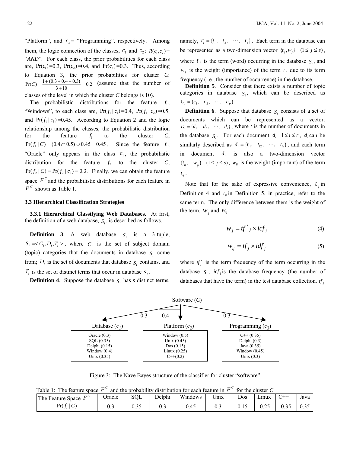"Platform", and  $c_3$  = "Programming", respectively. Among them, the logic connection of the classes,  $c_1$  and  $c_2$ :  $R(c_1, c_2)$  = "AND". For each class, the prior probabilities for each class are,  $Pr(c_1)=0.3$ ,  $Pr(c_2)=0.4$ , and  $Pr(c_3)=0.3$ . Thus, according to Equation 3, the prior probabilities for cluster *C*:  $Pr(C) = \frac{1 + (0.3 + 0.4 + 0.3)}{3 + 10} = 0.2$  (assume that the number of

classes of the level in which the cluster *C* belongs is 10).

The probabilistic distributions for the feature  $f_1$ , "Windows", to each class are,  $Pr(f_1 | c_1) = 0.4$ ,  $Pr(f_1 | c_2) = 0.5$ , and  $Pr(f_1 | c_2) = 0.45$ . According to Equation 2 and the logic relationship among the classes, the probabilistic distribution for the feature  $f_1$  to the cluster  $C$ ,  $Pr(f_1 | C) = (0.4 \cap 0.5) \cup 0.45 = 0.45$ . Since the feature  $f_1$ , "Oracle" only appears in the class  $c_1$ , the probabilistic distribution for the feature  $f_2$  to the cluster  $C$ ,  $Pr(f_2 | C) = Pr(f_2 | c_2) = 0.3$ . Finally, we can obtain the feature space  $F<sup>c</sup>$  and the probabilistic distributions for each feature in  $F^c$  shown as Table 1.

#### **3.3 Hierarchical Classification Strategies**

**3.3.1 Hierarchical Classifying Web Databases.** At first, the definition of a web database,  $S_i$ , is described as follows.

**Definition 3**. A web database  $S_i$  is a 3-tuple,  $S_i = \langle C_i, D_i, T_i \rangle$ , where  $C_i$  is the set of subject domain (topic) categories that the documents in database  $S_i$  come from;  $D_i$  is the set of documents that database  $S_i$  contains, and  $T_i$  is the set of distinct terms that occur in database  $S_i$ .

**Definition 4**. Suppose the database  $S_i$  has *s* distinct terms,

namely,  $T_i = \{t_1, t_2, \dots, t_s\}$ . Each term in the database can be represented as a two-dimension vector  $\{t_i, w_i\}$   $(1 \le j \le s)$ , where  $t_j$  is the term (word) occurring in the database  $S_i$ , and  $w_i$  is the weight (importance) of the term  $t_i$  due to its term frequency (i.e., the number of occurrence) in the database.

**Definition 5.** Consider that there exists a number of topic categories in database  $S_i$ , which can be described as  ${ C_i = \{c_1, c_2, \cdots, c_p\}}$ .

**Definition 6**. Suppose that database *S*<sub>*i*</sub> consists of a set of documents which can be represented as a vector:  $D_i = \{d_1, d_2, \dots, d_t\}$ , where *t* is the number of documents in the database  $S_i$ . For each document  $d_i$   $1 \le i \le r$ ,  $d_i$  can be similarly described as  $d_i = \{t_{i1}, t_{i2}, \dots, t_{is}\}$ , and each term in document *di* is also a two-dimension vector  ${t_{ij}, w_{ij}}$  (1 ≤ *j* ≤ *s*),  $w_{ij}$  is the weight (important) of the term  $t_{ii}$ .

Note that for the sake of expressive convenience,  $t_i$  in Definition 4 and  $t_{ij}$  in Definition 5, in practice, refer to the same term. The only difference between them is the weight of the term,  $W_i$  and  $W_{ij}$ :

$$
w_j = tf^*j \times icf_j \tag{4}
$$

$$
w_{ij} = tf_j \times idf_j \tag{5}
$$

where  $t f_j^*$  is the term frequency of the term occurring in the database  $S_i$ , *icf*<sub>j</sub> is the database frequency (the number of databases that have the term) in the test database collection.  $tf$ 



Figure 3: The Nave Bayes structure of the classifier for cluster "software"

Table 1: The feature space  $F^c$  and the probability distribution for each feature in  $F^c$  for the cluster *C* 

| 100101<br>$\frac{1}{1}$ in the space $\frac{1}{1}$<br>and the probability distribution for each reature in $\pm$<br>TOT the chapter C |                            |        |      |        |         |         |     |       |      |      |
|---------------------------------------------------------------------------------------------------------------------------------------|----------------------------|--------|------|--------|---------|---------|-----|-------|------|------|
|                                                                                                                                       | The Feature Space -        | Jracle | SQL  | Delphi | Windows | $U$ nix | Dos | ∟ınux |      | Java |
|                                                                                                                                       | $\mathcal{C}$<br>$Pr(f_i)$ | v      | 0.35 | U.J    | 0.45    | ∪.∟     |     |       | 0.35 | 0.35 |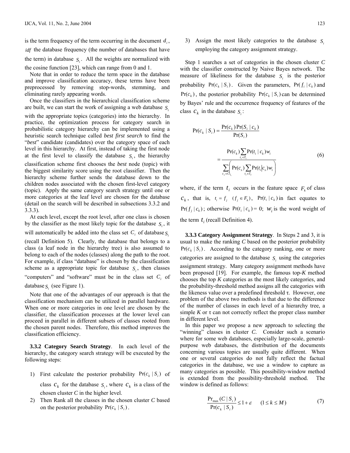is the term frequency of the term occurring in the document  $d_i$ , *idf* the database frequency (the number of databases that have the term) in database  $S_i$ . All the weights are normalized with the cosine function [23], which can range from 0 and 1.

 Note that in order to reduce the term space in the database and improve classification accuracy, these terms have been preprocessed by removing stop-words, stemming, and eliminating rarely appearing words.

 Once the classifiers in the hierarchical classification scheme are built, we can start the work of assigning a web database *.* 

with the appropriate topics (categories) into the hierarchy. In practice, the optimization process for category search in probabilistic category hierarchy can be implemented using a heuristic search technique called *best first search* to find the "*best*" candidate (candidates) over the category space of each level in this hierarchy. At first, instead of taking the first node at the first level to classify the database  $S_i$ , the hierarchy classification scheme first chooses the *best* node (topic) with the biggest similarity score using the root classifier. Then the hierarchy scheme further sends the database down to the children nodes associated with the chosen first-level category (topic). Apply the same category search strategy until one or more categories at the leaf level are chosen for the database (detail on the search will be described in subsections 3.3.2 and 3.3.3).

 At each level, except the root level, after one class is chosen by the classifier as the most likely topic for the database  $S_i$ , it will automatically be added into the class set  $C_i$  of database  $S_i$ (recall Definition 5). Clearly, the database that belongs to a class (a leaf node in the hierarchy tree) is also assumed to belong to each of the nodes (classes) along the path to the root. For example, if class "database" is chosen by the classification scheme as a appropriate topic for database  $S_i$ , then classes "computers" and "software" must be in the class set  $C_i$  of

database  $S<sub>i</sub>$  (see Figure 1).

 Note that one of the advantages of our approach is that the classification mechanism can be utilized in parallel hardware. When one or more categories in one level are chosen by the classifier, the classification processes at the lower level can proceed in parallel in different subsets of classes rooted from the chosen parent nodes. Therefore, this method improves the classification efficiency.

 **3.3.2 Category Search Strategy**. In each level of the hierarchy, the category search strategy will be executed by the following steps:

1) First calculate the posterior probability  $Pr(c_k | S_i)$  of

class  $c_k$  for the database  $S_i$ , where  $c_k$  is a class of the chosen cluster *C* in the higher level.

2) Then Rank all the classes in the chosen cluster *C* based on the posterior probability  $Pr(c_k | S_i)$ .

3) Assign the most likely categories to the database  $S_i$ employing the category assignment strategy.

 Step 1 searches a set of categories in the chosen cluster *C* with the classifier constructed by Naive Bayes network. The measure of likeliness for the database  $S_i$  is the posterior probability  $Pr(c_k | S_i)$ . Given the parameters,  $Pr(f_i | c_k)$  and  $Pr(c_k)$ , the posterior probability  $Pr(c_k | S_i)$  can be determined by Bayes' rule and the occurrence frequency of features of the class  $c_k$  in the database  $S_i$ :

$$
Pr(c_k | S_i) = \frac{Pr(c_k)Pr(S_i | c_k)}{Pr(S_i)}
$$
  
= 
$$
\frac{Pr(c_k) \sum_{t_i \in T_i} Pr(t_i | c_k) w_i}{\sum_{c_s \in C} \left[ Pr(c_s) \sum_{t_i \in T_i} Pr(t_i | c_s) w_i \right]}
$$
 (6)

where, if the term  $t_i$  occurs in the feature space  $F_k$  of class  $c_k$ , that is,  $t_i = f_i$   $(f_i \in F_k)$ ,  $Pr(t_i | c_k)$  in fact equates to  $Pr(f_i | c_k)$ ; otherwise  $Pr(t_i | c_k) = 0$ ; *w<sub>i</sub>* is the word weight of the term  $t_i$  (recall Definition 4).

**3.3.3 Category Assignment Strategy**. In Steps 2 and 3, it is usual to make the ranking *C* based on the posterior probability  $Pr(c_k | S_i)$ . According to the category ranking, one or more categories are assigned to the database  $S_i$  using the categories assignment strategy. Many category assignment methods have been proposed [19]. For example, the famous top*-K* method chooses the top *K* categories as the most likely categories, and the probability-threshold method assigns all the categories with the likeness value over a predefined threshold  $\tau$ . However, one problem of the above two methods is that due to the difference of the number of classes in each level of a hierarchy tree, a simple  $K$  or  $\tau$  can not correctly reflect the proper class number in different level.

 In this paper we propose a new approach to selecting the "winning" classes in cluster *C*. Consider such a scenario where for some web databases, especially large-scale, generalpurpose web databases, the distribution of the documents concerning various topics are usually quite different. When one or several categories do not fully reflect the factual categories in the database, we use a window to capture as many categories as possible. This possibility-window method is extended from the possibility-threshold method. The window is defined as follows:

$$
\frac{\Pr_{\max}(C \mid S_i)}{\Pr(c_k \mid S_i)} \le 1 + \varepsilon \qquad (1 \le k \le M)
$$
 (7)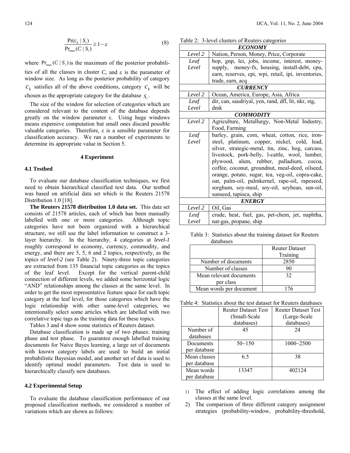$$
\frac{\Pr(c_k \mid S_i)}{\Pr_{\text{max}}(C \mid S_i)} \ge 1 - \varepsilon \tag{8}
$$

where  $Pr_{max}(C | S_i)$  is the maximum of the posterior probabilities of all the classes in cluster  $C$ , and  $\varepsilon$  is the parameter of window size. As long as the posterior probability of category  $c_k$  satisfies all of the above conditions, category  $c_k$  will be chosen as the appropriate category for the database  $S_i$ .

 The size of the window for selection of categories which are considered relevant to the content of the database depends greatly on the window parameter ε. Using huge windows means expensive computation but small ones discard possible valuable categories. Therefore, ε is a sensible parameter for classification accuracy. We ran a number of experiments to determine its appropriate value in Section 5.

#### **4 Experiment**

#### **4.1 Testbed**

 To evaluate our database classification techniques, we first need to obtain hierarchical classified text data. Our testbed was based on artificial data set which is the Reuters 21578 Distribution 1.0 [18].

 **The Reuters 21578 distribution 1.0 data set.** This data set consists of 21578 articles, each of which has been manually labelled with one or more categories. Although topic categories have not been organized with a hierarchical structure, we still use the label information to construct a 3 layer hierarchy. In the hierarchy, 4 categories at *level-1* roughly correspond to economy, currency, commodity, and energy, and there are 5, 5, 6 and 2 topics, respectively, as the topics of *level-2* (see Table 2). Ninety-three topic categories are extracted from 135 financial topic categories as the topics of the leaf level. Except for the vertical parent-child connection of different levels, we added some horizontal logic "AND" relationships among the classes at the same level. In order to get the most representative feature space for each topic category at the leaf level, for those categories which have the logic relationship with other same-level categories, we intentionally select some articles which are labelled with two correlative topic tags as the training data for these topics.

Tables 3 and 4 show some statistics of Reuters dataset.

 Database classification is made up of two phases: training phase and test phase. To guarantee enough labelled training documents for Naive Bayes learning, a large set of documents with known category labels are used to build an initial probabilistic Bayesian model, and another set of data is used to identify optimal model parameters. Test data is used to hierarchically classify new databases.

#### **4.2 Experimental Setup**

To evaluate the database classification performance of our proposed classification methods, we considered a number of variations which are shown as follows:

Table 2: 3-level clusters of Reuters categories

| <b>ECONOMY</b>                                  |                                                     |  |  |  |
|-------------------------------------------------|-----------------------------------------------------|--|--|--|
| Level 2                                         | Nation, Person, Money, Price, Corporate             |  |  |  |
| Leaf                                            | bop, gnp, lei, jobs, income, interest, money-       |  |  |  |
| Level                                           | supply, money-fx, housing, install-debt, cpu,       |  |  |  |
|                                                 | earn, reserves, cpi, wpi, retail, ipi, inventories, |  |  |  |
|                                                 | trade, earn, acq                                    |  |  |  |
|                                                 | <b>CURRENCY</b>                                     |  |  |  |
| Level 2                                         | Ocean, America, Europe, Asia, Africa                |  |  |  |
| Leaf                                            | dir, can, saudriyal, yen, rand, dfl, lit, nkr, stg, |  |  |  |
| Level                                           | dmk                                                 |  |  |  |
|                                                 | <b>COMMODITY</b>                                    |  |  |  |
| Level 2                                         | Agriculture, Metallurgy, Non-Metal Industry,        |  |  |  |
|                                                 | Food, Farming                                       |  |  |  |
| Leaf                                            | barley, grain, corn, wheat, cotton, rice, iron-     |  |  |  |
| Level                                           | steel, platinum, copper, nickel, cold, lead,        |  |  |  |
|                                                 | silver, strategic-metal, tin, zinc, hog, carcass,   |  |  |  |
| livestock, pork-belly, l-cattle, wool, lumber,  |                                                     |  |  |  |
| plywood, alum, rubber, palladium, cocoa,        |                                                     |  |  |  |
| coffee, coconut, groundnut, meal-deed, oilseed, |                                                     |  |  |  |
|                                                 | orange, potato, sugar, tea, veg-oil, copra-cake,    |  |  |  |
|                                                 | oat, palm-oil, palmkernel, rape-oil, rapeseed,      |  |  |  |
|                                                 | sorghum, soy-meal, soy-oil, soybean, sun-oil,       |  |  |  |
|                                                 | sunseed, tapioca, ship                              |  |  |  |
| <b>ENERGY</b>                                   |                                                     |  |  |  |
| Level 2                                         | Oil, Gas                                            |  |  |  |
| Leaf                                            | crude, heat, fuel, gas, pet-chem, jet, naphtha,     |  |  |  |
| Level                                           | nat-gas, propane, ship                              |  |  |  |

Table 3: Statistics about the training dataset for Reuters databases

|                         | <b>Reuter Dataset</b> |
|-------------------------|-----------------------|
|                         | Training              |
| Number of documents     | 2850                  |
| Number of classes       | 90                    |
| Mean relevant documents | 32                    |
| per class               |                       |
| Mean words per document | 76                    |

| Table 4: Statistics about the test dataset for Reuters databases |  |  |  |
|------------------------------------------------------------------|--|--|--|
|------------------------------------------------------------------|--|--|--|

|              | <b>Reuter Dataset Test</b> | <b>Reuter Dataset Test</b> |
|--------------|----------------------------|----------------------------|
|              | (Small-Scale               | (Large-Scale               |
|              | databases)                 | databases)                 |
| Number of    | 45                         | 24                         |
| databases    |                            |                            |
| Documents    | $50 - 150$                 | $1000 - 2500$              |
| per database |                            |                            |
| Mean classes | 65                         | 38                         |
| per database |                            |                            |
| Mean words   | 13347                      | 402124                     |
| per database |                            |                            |

- 1) The effect of adding logic correlations among the classes at the same level.
- 2) The comparison of three different category assignment strategies (probability-window, probability-threshold,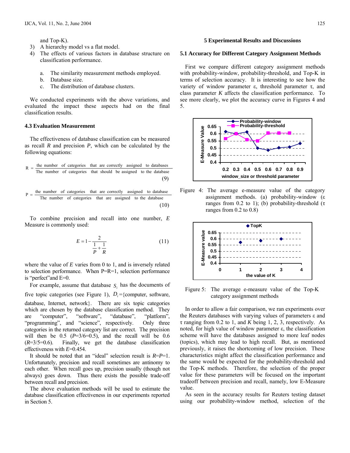and Top-K).

- 3) A hierarchy model vs a flat model.
- 4) The effects of various factors in database structure on classification performance.
	- a. The similarity measurement methods employed.
	- b. Database size.
	- c. The distribution of database clusters.

 We conducted experiments with the above variations, and evaluated the impact these aspects had on the final classification results.

#### **4.3 Evaluation Measurement**

 The effectiveness of database classification can be measured as recall *R* and precision *P*, which can be calculated by the following equations:

$$
R = \frac{\text{the number of categories that are correctly assigned to databases}}{\text{The number of categories that should be assigned to the database}}
$$
\n(9)

$$
P = \frac{\text{the number of categories that are correctly assigned to database}}{\text{The number of categories that are assigned to the database}} \tag{10}
$$

 To combine precision and recall into one number, *E* Measure is commonly used:

$$
E = 1 - \frac{2}{\frac{1}{P} + \frac{1}{R}}
$$
 (11)

where the value of *E* varies from 0 to 1, and is inversely related to selection performance. When P=R=1, selection performance is "perfect"and E=0.

For example, assume that database  $S_i$  has the documents of five topic categories (see Figure 1),  $D_i = \{$ computer, software, database, Internet, network}. There are six topic categories which are chosen by the database classification method. They are "computer", "software", "database", "platform", "programming", and "science", respectively. Only three categories in the returned category list are correct. The precision will then be  $0.5$  ( $P=3/6=0.5$ ), and the recall will be  $0.6$  $(R=3/5=0.6)$ . Finally, we get the database classification effectiveness with *E*=0.454.

 It should be noted that an "ideal" selection result is *R*=*P*=1. Unfortunately, precision and recall sometimes are antinomy to each other. When recall goes up, precision usually (though not always) goes down. Thus there exists the possible trade-off between recall and precision.

 The above evaluation methods will be used to estimate the database classification effectiveness in our experiments reported in Section 5.

#### **5 Experimental Results and Discussions**

#### **5.1 Accuracy for Different Category Assignment Methods**

 First we compare different category assignment methods with probability-window, probability-threshold, and Top-K in terms of selection accuracy. It is interesting to see how the variety of window parameter ε, threshold parameter τ, and class parameter *K* affects the classification performance. To see more clearly, we plot the accuracy curve in Figures 4 and 5.



Figure 4: The average e-measure value of the category assignment methods. (a) probability-window (ε ranges from 0.2 to 1); (b) probability-threshold (τ ranges from 0.2 to 0.8)



Figure 5: The average e-measure value of the Top-K category assignment methods

 In order to allow a fair comparison, we ran experiments over the Reuters databases with varying values of parameters ε and τ ranging from 0.2 to 1, and *K* being 1, 2, 3, respectively. As noted, for high value of window parameter ε, the classification scheme will have the databases assigned to more leaf nodes (topics), which may lead to high recall. But, as mentioned previously, it raises the shortcoming of low precision. These characteristics might affect the classification performance and the same would be expected for the probability-threshold and the Top-K methods. Therefore, the selection of the proper value for these parameters will be focused on the important tradeoff between precision and recall, namely, low E-Measure value.

 As seen in the accuracy results for Reuters testing dataset using our probability-window method, selection of the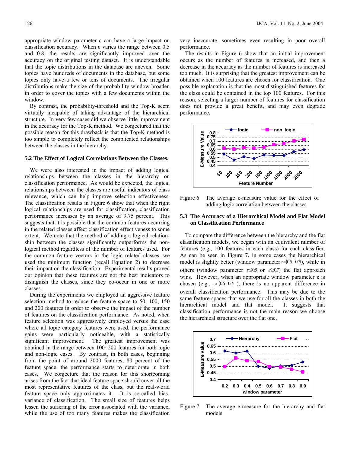appropriate window parameter ε can have a large impact on classification accuracy. When ε varies the range between 0.5 and 0.8, the results are significantly improved over the accuracy on the original testing dataset. It is understandable that the topic distributions in the database are uneven. Some topics have hundreds of documents in the database, but some topics only have a few or tens of documents. The irregular distributions make the size of the probability window broaden in order to cover the topics with a few documents within the window.

 By contrast, the probability-threshold and the Top-K seem virtually incapable of taking advantage of the hierarchical structure. In very few cases did we observe little improvement in the accuracy for the Top-K method. We conjectured that the possible reason for this drawback is that the Top-K method is too simple to completely reflect the complicated relationships between the classes in the hierarchy.

#### **5.2 The Effect of Logical Correlations Between the Classes.**

 We were also interested in the impact of adding logical relationships between the classes in the hierarchy on classification performance. As would be expected, the logical relationships between the classes are useful indicators of class relevance, which can help improve selection effectiveness. The classification results in Figure 6 show that when the right logical relationships are used for classification, classification performance increases by an average of 9.75 percent. This suggests that it is possible that the common features occurring in the related classes affect classification effectiveness to some extent. We note that the method of adding a logical relationship between the classes significantly outperforms the nonlogical method regardless of the number of features used. For the common feature vectors in the logic related classes, we used the minimum function (recall Equation 2) to decrease their impact on the classification. Experimental results proved our opinion that these features are not the best indicators to disinguish the classes, since they co-occur in one or more classes.

 During the experiments we employed an aggressive feature selection method to reduce the feature space to 50, 100, 150 and 200 features in order to observe the impact of the number of features on the classification performance. As noted, when feature selection was aggressively employed versus the case where all topic category features were used, the performance gains were particularly noticeable, with a statistically significant improvement. The greatest improvement was obtained in the range between 100~200 features for both logic and non-logic cases. By contrast, in both cases, beginning from the point of around 2000 features, 80 percent of the feature space, the performance starts to deteriorate in both cases. We conjecture that the reason for this shortcoming arises from the fact that ideal feature space should cover all the most representative features of the class, but the real-world feature space only approximates it. It is so-called biasvariance of classification. The small size of features helps lessen the suffering of the error associated with the variance, while the use of too many features makes the classification

very inaccurate, sometimes even resulting in poor overall performance.

 The results in Figure 6 show that an initial improvement occurs as the number of features is increased, and then a decrease in the accuracy as the number of features is increased too much. It is surprising that the greatest improvement can be obtained when 100 features are chosen for classification. One possible explanation is that the most distinguished features for the class could be contained in the top 100 features. For this reason, selecting a larger number of features for classification does not provide a great benefit, and may even degrade performance.



Figure 6: The average e-measure value for the effect of adding logic correlation between the classes

#### **5.3 The Accuracy of a Hierarchical Model and Flat Model on Classification Performance**

 To compare the difference between the hierarchy and the flat classification models, we began with an equivalent number of features (e.g., 100 features in each class) for each classifier. As can be seen in Figure 7, in some cases the hierarchical model is slightly better (window parameter $\varepsilon \in (0.5, 0.7)$ ), while in others (window parameter  $\varepsilon \le 0.5$  or  $\varepsilon \ge 0.7$ ) the flat approach wins. However, when an appropriate window parameter  $\varepsilon$  is chosen (e.g.,  $\varepsilon \in (0.6, 0.7)$ ), there is no apparent difference in overall classification performance. This may be due to the same feature spaces that we use for all the classes in both the hierarchical model and flat model. It suggests that classification performance is not the main reason we choose the hierarchical structure over the flat one.



Figure 7: The average e-measure for the hierarchy and flat models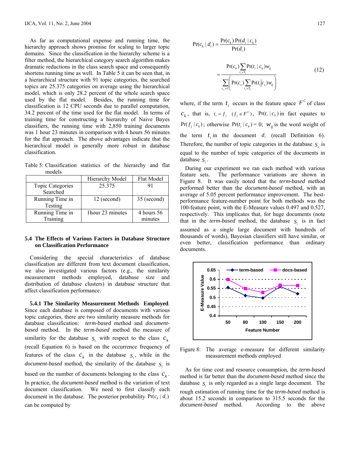As far as computational expense and running time, the hierarchy approach shows promise for scaling to larger topic domains. Since the classification in the hierarchy scheme is a filter method, the hierarchical category search algorithm makes dramatic reductions in the class search space and consequently shortens running time as well. In Table 5 it can be seen that, in a hierarchical structure with 91 topic categories, the searched topics are 25.375 categories on average using the hierarchical model, which is only 28.2 percent of the whole search space used by the flat model. Besides, the running time for classification is 12 CPU seconds due to parallel computation, 34.2 percent of the time used for the flat model. In terms of training time for constructing a hierarchy of Naive Bayes classifiers, the running time with 2,850 training documents was 1 hour 23 minutes in comparison with 4 hours 56 minutes for the flat approach. The above advantages indicate that the hierarchical model is generally more robust in database classification.

Table 5: Classification statistics of the hierarchy and flat models

|                         | Hierarchy Model  | Flat Model  |
|-------------------------|------------------|-------------|
| <b>Topic Categories</b> | 25.375           |             |
| Searched                |                  |             |
| Running Time in         | 12 (second)      | 35 (second) |
| Testing                 |                  |             |
| Running Time in         | 1hour 23 minutes | 4 hours 56  |
| Training                |                  | minutes     |

#### **5.4 The Effects of Various Factors in Database Structure on Classification Performance**

 Considering the special characteristics of database classification are different from text document classification, we also investigated various factors (e.g., the similarity measurement methods employed, database size and distribution of database clusters) in database structure that affect classification performance.

 **5.4.1 The Similarity Measurement Methods Employed**. Since each database is composed of documents with various topic categories, there are two similarity measure methods for database classification: *term-based* method and *documentbased* method. In the *term-based* method the measure of similarity for the database  $S_i$  with respect to the class  $c_k$ (recall Equation 6) is based on the occurrence frequency of features of the class  $c_k$  in the database  $S_i$ , while in the *document-based* method, the similarity of the database  $S_i$  is

based on the number of documents belonging to the class  $c_k$ . In practice, the *document-based* method is the variation of text document classification. We need to first classify each document in the database. The posterior probability  $Pr(c_k | d_i)$ can be computed by

$$
Pr(c_k | d_i) = \frac{Pr(c_k) Pr(d_i | c_k)}{Pr(d_i)}
$$
  
= 
$$
\frac{Pr(c_k) \sum_{t_i \in T_i} Pr(t_i | c_k) w_{ij}}{\sum_{c_s \in C} \left( Pr(c_s) \sum_{t_i \in T_i} Pr(t_i | c_s) w_{ij} \right)}
$$
(12)

where, if the term  $t_i$  occurs in the feature space  $F^c$  of class  $c_k$ , that is,  $t_i = f_j$   $(f_i \in F^c)$ ,  $Pr(t_i | c_k)$  in fact equates to  $Pr(f_i | c_k)$ ; otherwise  $Pr(t_i | c_k) = 0$ ;  $W_{ij}$  is the word weight of the term  $t_i$  in the document  $d_i$  (recall Definition 6). Therefore, the number of topic categories in the database  $S_i$  is equal to the number of topic categories of the documents in database  $S_i$ .

 During our experiment we ran each method with various feature sets. The performance variations are shown in Figure 8. It was easily noted that the *term-based* method performed better than the *document-based* method, with an average of 5.05 percent performance improvement. The bestperformance feature-number point for both methods was the 100-feature point, with the E-Measure values 0.497 and 0.527, respectively. This implicates that, for huge documents (note that in the *term-based* method, the database  $S_i$  is in fact assumed as a single large document with hundreds of thousands of words), Bayesian classifiers still have similar, or even better, classification performance than ordinary documents.



Figure 8: The average e-measure for different similarity measurement methods employed

 As for time cost and resource consumption, the *term-based*  method is far better than the *document-based* method since the database  $S_i$  is only regarded as a single large document. The

rough estimation of running time for the *term-based* method is about 15.2 seconds in comparison to 315.5 seconds for the *document-based* method. According to the above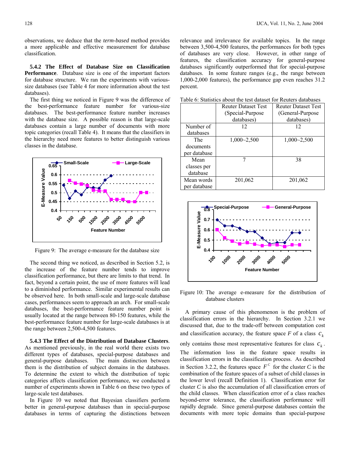observations, we deduce that the *term-based* method provides a more applicable and effective measurement for database classification.

 **5.4.2 The Effect of Database Size on Classification Performance**. Database size is one of the important factors for database structure. We ran the experiments with varioussize databases (see Table 4 for more information about the test databases).

 The first thing we noticed in Figure 9 was the difference of the best-performance feature number for various-size databases. The best-performance feature number increases with the database size. A possible reason is that large-scale databases contain a large number of documents with more topic categories (recall Table 4). It means that the classifiers in the hierarchy need more features to better distinguish various classes in the database.



Figure 9: The average e-measure for the database size

 The second thing we noticed, as described in Section 5.2, is the increase of the feature number tends to improve classification performance, but there are limits to that trend. In fact, beyond a certain point, the use of more features will lead to a diminished performance. Similar experimental results can be observed here. In both small-scale and large-scale database cases, performances seem to approach an arch. For small-scale databases, the best-performance feature number point is usually located at the range between 80-150 features, while the best-performance feature number for large-scale databases is at the range between 2,500-4,500 features.

 **5.4.3 The Effect of the Distribution of Database Clusters**. As mentioned previously, in the real world there exists two different types of databases, special-purpose databases and general-purpose databases. The main distinction between them is the distribution of subject domains in the databases. To determine the extent to which the distribution of topic categories affects classification performance, we conducted a number of experiments shown in Table 6 on these two types of large-scale test databases.

 In Figure 10 we noted that Bayesian classifiers perform better in general-purpose databases than in special-purpose databases in terms of capturing the distinctions between relevance and irrelevance for available topics. In the range between 3,500-4,500 features, the performances for both types of databases are very close. However, in other range of features, the classification accuracy for general-purpose databases significantly outperformed that for special-purpose databases. In some feature ranges (e.g., the range between 1,000-2,000 features), the performance gap even reaches 31.2 percent.

|              | <b>Reuter Dataset Test</b> | <b>Reuter Dataset Test</b> |
|--------------|----------------------------|----------------------------|
|              | (Special-Purpose           | (General-Purpose           |
|              | databases)                 | databases)                 |
| Number of    | 12                         | 12                         |
| databases    |                            |                            |
| The          | $1,000 - 2,500$            | $1,000 - 2,500$            |
| documents    |                            |                            |
| per database |                            |                            |
| Mean         |                            | 38                         |
| classes per  |                            |                            |
| database     |                            |                            |
| Mean words   | 201,062                    | 201,062                    |
| per database |                            |                            |

Table 6: Statistics about the test dataset for Reuters databases



Figure 10: The average e-measure for the distribution of database clusters

 A primary cause of this phenomenon is the problem of classification errors in the hierarchy. In Section 3.2.1 we discussed that, due to the trade-off between computation cost and classification accuracy, the feature space  $F$  of a class  $c_k$ only contains those most representative features for class  $c_k$ . The information loss in the feature space results in classification errors in the classification process. As described in Section 3.2.2, the features space  $F^c$  for the cluster *C* is the combination of the feature spaces of a subset of child classes in the lower level (recall Definition 1). Classification error for cluster *C* is also the accumulation of all classification errors of the child classes. When classification error of a class reaches beyond-error tolerance, the classification performance will rapidly degrade. Since general-purpose databases contain the documents with more topic domains than special-purpose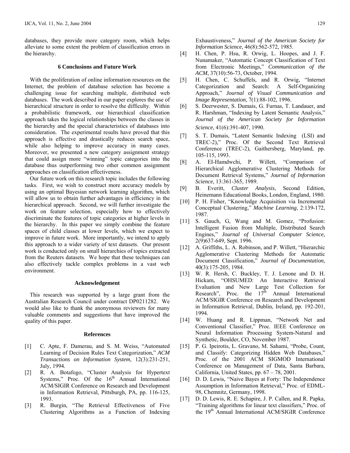databases, they provide more category room, which helps alleviate to some extent the problem of classification errors in the hierarchy.

#### **6 Conclusions and Future Work**

 With the proliferation of online information resources on the Internet, the problem of database selection has become a challenging issue for searching multiple, distributed web databases. The work described in our paper explores the use of hierarchical structure in order to resolve the difficulty. Within a probabilistic framework, our hierarchical classification approach takes the logical relationships between the classes in the hierarchy and the special characteristics of databases into consideration. The experimental results have proved that this approach is effective and drastically reduces search space, while also helping to improve accuracy in many cases. Moreover, we presented a new category assignment strategy that could assign more "winning" topic categories into the database thus outperforming two other common assignment approaches on classification effectiveness.

 Our future work on this research topic includes the following tasks. First, we wish to construct more accuracy models by using an optimal Bayesian network learning algorithm, which will allow us to obtain further advantages in efficiency in the hierarchical approach. Second, we will further investigate the work on feature selection, especially how to effectively discriminate the features of topic categories at higher levels in the hierarchy. In this paper we simply combine the feature spaces of child classes at lower levels, which we expect to improve in future work. More importantly, we intend to apply this approach to a wider variety of text datasets. Our present work is conducted only on small hierarchies of topics extracted from the Reuters datasets. We hope that these techniques can also effectively tackle complex problems in a vast web environment.

#### **Acknowledgement**

 This research was supported by a large grant from the Australian Research Council under contract DP0211282. We would also like to thank the anonymous reviewers for many valuable comments and suggestions that have improved the quality of this paper.

#### **References**

- [1] C. Apte, F. Damerau, and S. M. Weiss, "Automated Learning of Decision Rules Text Categorization," *ACM Transactions on Information System*, 12(3):231-251, July, 1994.
- [2] R. A. Botafogo, "Cluster Analysis for Hypertext Systems," Proc. Of the  $16<sup>th</sup>$  Annual International ACM/SIGIR Conference on Research and Development in Information Retrieval, Pittsburgh, PA, pp. 116-125, 1993.
- [3] R. Burgin, "The Retrieval Effectiveness of Five Clustering Algorithms as a Function of Indexing

Exhaustiveness," *Journal of the American Society for Information Science*, 46(8):562-572, 1985.

- [4] H. Chen, P. Hsu, R. Orwig, L. Hoopes, and J. F. Nunamaker, "Automatic Concept Classification of Text from Electronic Meetings," *Communication of the ACM*, 37(10):56-73, October, 1994.
- [5] H. Chen, C. Schuffels, and R. Orwig, "Internet Categorization and Search: A Self-Organizing Approach," *Journal of Visual Communication and Image Representation*, 7(1):88-102, 1996.
- [6] S. Deerwester, S. Dumais, G. Furnas, T. Landauer, and R. Harshman, "Indexing by Latent Semantic Analysis," *Journal of the American Society for Information Science*, 41(6):391-407, 1990.
- [7] S. T. Dumais, "Latent Semantic Indexing (LSI) and TREC-2)," Proc. Of the Second Text Retrieval Conference (TREC-2), Gaithersberg, Maryland, pp. 105-115, 1993.
- [8] A. EI-Hamdwchi, P. Willett, "Comparison of Hierarchical Agglomerative Clustering Methods for Document Retrieval Systems," *Journal of Information Science*, 13:361-365, 1989.
- [9] B. Everitt, *Cluster Analysis*, Second Edition, Heinemann Educational Books, London, England, 1980.
- [10] P. H. Fisher, "Knowledge Acquisition via Incremental Conceptual Clustering," *Machine Learning*, 2:139-172, 1987.
- [11] S. Gauch, G. Wang and M. Gomez, "Profusion: Intelligent Fusion from Multiple, Distributed Search Engines," *Journal of Universal Computer Science,*  2(9)637-649, Sept. 1996.
- [12] A. Griffiths, L. A. Robinson, and P. Willett, "Hierarchic Agglomerative Clustering Methods for Automatic Document Classification," *Journal of Documentation*, 40(3):175-205, 1984.
- [13] W. R. Hersh, C. Buckley, T. J. Lenone and D. H. Hickam, "OHSUMED: An Interactive Retrieval Evaluation and New Large Test Collection for Research", Proc. the  $17<sup>th</sup>$  Annual International ACM/SIGIR Conference on Research and Development in Information Retrieval, Dublin, Ireland, pp. 192-201, 1994.
- [14] W. Huang and R. Lippman, "Network Net and Conventional Classifier," Proc. IEEE Conference on Neural Information Processing System-Natural and Synthetic, Boulder, CO, November 1987.
- [15] P. G. Ipeirotis, L. Gravano, M. Sahami, "Probe, Count, and Classify: Categorizing Hidden Web Databases," Proc. of the 2001 ACM SIGMOD International Conference on Management of Data, Santa Barbara, California, United States, pp. 67 – 78, 2001.
- [16] D. D. Lewis, "Naive Bayes at Forty: The Independence Assumption in Information Retrieval," Proc. of EDML-98, Chemnitz, Germany, 1998.
- [17] D. D. Lewis, R. E. Schapire, J. P. Callen, and R. Papka, "Training algorithms for linear text classifiers," Proc. of the 19<sup>th</sup> Annual International ACM/SIGIR Conference